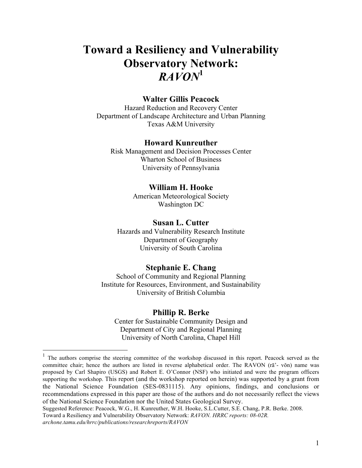# **Toward a Resiliency and Vulnerability Observatory Network:** *RAVON***<sup>1</sup>**

## **Walter Gillis Peacock**

Hazard Reduction and Recovery Center Department of Landscape Architecture and Urban Planning Texas A&M University

#### **Howard Kunreuther**

Risk Management and Decision Processes Center Wharton School of Business University of Pennsylvania

#### **William H. Hooke**

American Meteorological Society Washington DC

## **Susan L. Cutter**

Hazards and Vulnerability Research Institute Department of Geography University of South Carolina

#### **Stephanie E. Chang**

School of Community and Regional Planning Institute for Resources, Environment, and Sustainability University of British Columbia

#### **Phillip R. Berke**

Center for Sustainable Community Design and Department of City and Regional Planning University of North Carolina, Chapel Hill

 <sup>1</sup> The authors comprise the steering committee of the workshop discussed in this report. Peacock served as the committee chair; hence the authors are listed in reverse alphabetical order. The RAVON (rā'- vŏn) name was proposed by Carl Shapiro (USGS) and Robert E. O'Connor (NSF) who initiated and were the program officers supporting the workshop. This report (and the workshop reported on herein) was supported by a grant from the National Science Foundation (SES-0831115). Any opinions, findings, and conclusions or recommendations expressed in this paper are those of the authors and do not necessarily reflect the views of the National Science Foundation nor the United States Geological Survey.

Suggested Reference: Peacock, W.G., H. Kunreuther, W.H. Hooke, S.L.Cutter, S.E. Chang, P.R. Berke. 2008. Toward a Resiliency and Vulnerability Observatory Network: *RAVON. HRRC reports: 08-02R. archone.tamu.edu/hrrc/publications/researchreports/RAVON*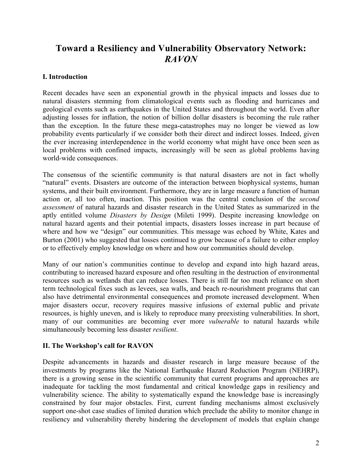## **Toward a Resiliency and Vulnerability Observatory Network:** *RAVON*

## **I. Introduction**

Recent decades have seen an exponential growth in the physical impacts and losses due to natural disasters stemming from climatological events such as flooding and hurricanes and geological events such as earthquakes in the United States and throughout the world. Even after adjusting losses for inflation, the notion of billion dollar disasters is becoming the rule rather than the exception. In the future these mega-catastrophes may no longer be viewed as low probability events particularly if we consider both their direct and indirect losses. Indeed, given the ever increasing interdependence in the world economy what might have once been seen as local problems with confined impacts, increasingly will be seen as global problems having world-wide consequences.

The consensus of the scientific community is that natural disasters are not in fact wholly "natural" events. Disasters are outcome of the interaction between biophysical systems, human systems, and their built environment. Furthermore, they are in large measure a function of human action or, all too often, inaction. This position was the central conclusion of the *second assessment* of natural hazards and disaster research in the United States as summarized in the aptly entitled volume *Disasters by Design* (Mileti 1999). Despite increasing knowledge on natural hazard agents and their potential impacts, disasters losses increase in part because of where and how we "design" our communities. This message was echoed by White, Kates and Burton (2001) who suggested that losses continued to grow because of a failure to either employ or to effectively employ knowledge on where and how our communities should develop.

Many of our nation's communities continue to develop and expand into high hazard areas, contributing to increased hazard exposure and often resulting in the destruction of environmental resources such as wetlands that can reduce losses. There is still far too much reliance on short term technological fixes such as levees, sea walls, and beach re-nourishment programs that can also have detrimental environmental consequences and promote increased development. When major disasters occur, recovery requires massive infusions of external public and private resources, is highly uneven, and is likely to reproduce many preexisting vulnerabilities. In short, many of our communities are becoming ever more *vulnerable* to natural hazards while simultaneously becoming less disaster *resilient*.

## **II. The Workshop's call for RAVON**

Despite advancements in hazards and disaster research in large measure because of the investments by programs like the National Earthquake Hazard Reduction Program (NEHRP), there is a growing sense in the scientific community that current programs and approaches are inadequate for tackling the most fundamental and critical knowledge gaps in resiliency and vulnerability science. The ability to systematically expand the knowledge base is increasingly constrained by four major obstacles. First, current funding mechanisms almost exclusively support one-shot case studies of limited duration which preclude the ability to monitor change in resiliency and vulnerability thereby hindering the development of models that explain change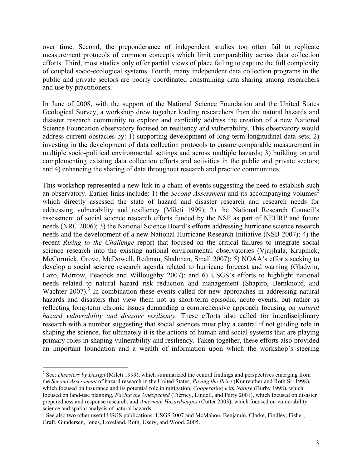over time. Second, the preponderance of independent studies too often fail to replicate measurement protocols of common concepts which limit comparability across data collection efforts. Third, most studies only offer partial views of place failing to capture the full complexity of coupled socio-ecological systems. Fourth, many independent data collection programs in the public and private sectors are poorly coordinated constraining data sharing among researchers and use by practitioners.

In June of 2008, with the support of the National Science Foundation and the United States Geological Survey, a workshop drew together leading researchers from the natural hazards and disaster research community to explore and explicitly address the creation of a new National Science Foundation observatory focused on resiliency and vulnerability. This observatory would address current obstacles by: 1) supporting development of long term longitudinal data sets; 2) investing in the development of data collection protocols to ensure comparable measurement in multiple socio-political environmental settings and across multiple hazards; 3) building on and complementing existing data collection efforts and activities in the public and private sectors; and 4) enhancing the sharing of data throughout research and practice communities.

This workshop represented a new link in a chain of events suggesting the need to establish such an observatory. Earlier links include: 1) the *Second Assessment* and its accompanying volumes<sup>2</sup> which directly assessed the state of hazard and disaster research and research needs for addressing vulnerability and resiliency (Mileti 1999); 2) the National Research Council's assessment of social science research efforts funded by the NSF as part of NEHRP and future needs (NRC 2006); 3) the National Science Board's efforts addressing hurricane science research needs and the development of a new National Hurricane Research Initiative (NSB 2007); 4) the recent *Rising to the Challenge* report that focused on the critical failures to integrate social science research into the existing national environmental observatories (Vjajjhala, Krupnick, McCormick, Grove, McDowell, Redman, Shabman, Small 2007); 5) NOAA's efforts seeking to develop a social science research agenda related to hurricane forecast and warning (Gladwin, Lazo, Morrow, Peacock and Willoughby 2007); and 6) USGS's efforts to highlight national needs related to natural hazard risk reduction and management (Shapiro, Bernknopf, and Wachter  $2007$ ).<sup>3</sup> In combination these events called for new approaches in addressing natural hazards and disasters that view them not as short-term episodic, acute events, but rather as reflecting long-term chronic issues demanding a comprehensive approach focusing on *natural hazard vulnerability and disaster resiliency*. These efforts also called for interdisciplinary research with a number suggesting that social sciences must play a central if not guiding role in shaping the science, for ultimately it is the actions of human and social systems that are playing primary roles in shaping vulnerability and resiliency. Taken together, these efforts also provided an important foundation and a wealth of information upon which the workshop's steering

 $\frac{1}{2}$ <sup>2</sup> See: *Disasters by Design* (Mileti 1999), which summarized the central findings and perspectives emerging from the *Second Assessment* of hazard research in the United States, *Paying the Price* (Kunreuther and Roth Sr. 1998), which focused on insurance and its potential role in mitigation, *Cooperating with Nature* (Burby 1998), which focused on land-use planning, *Facing the Unexpected* (Tierney, Lindell, and Perry 2001), which focused on disaster preparedness and response research, and *American Hazardscapes* (Cutter 2003), which focused on vulnerability science and spatial analysis of natural hazards.

<sup>&</sup>lt;sup>3</sup> See also two other useful USGS publications: USGS 2007 and McMahon, Benjamin, Clarke, Findley, Fisher, Graft, Gundersen, Jones, Loveland, Roth, Usery, and Wood. 2005.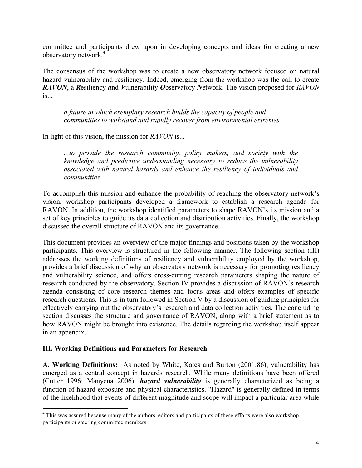committee and participants drew upon in developing concepts and ideas for creating a new observatory network.<sup>4</sup>

The consensus of the workshop was to create a new observatory network focused on natural hazard vulnerability and resiliency. Indeed, emerging from the workshop was the call to create *RAVON*, a *R*esiliency *a*nd *V*ulnerability *O*bservatory *N*etwork. The vision proposed for *RAVON* is...

*a future in which exemplary research builds the capacity of people and communities to withstand and rapidly recover from environmental extremes.*

In light of this vision, the mission for *RAVON* is...

*...to provide the research community, policy makers, and society with the knowledge and predictive understanding necessary to reduce the vulnerability associated with natural hazards and enhance the resiliency of individuals and communities.*

To accomplish this mission and enhance the probability of reaching the observatory network's vision, workshop participants developed a framework to establish a research agenda for RAVON. In addition, the workshop identified parameters to shape RAVON's its mission and a set of key principles to guide its data collection and distribution activities. Finally, the workshop discussed the overall structure of RAVON and its governance.

This document provides an overview of the major findings and positions taken by the workshop participants. This overview is structured in the following manner. The following section (III) addresses the working definitions of resiliency and vulnerability employed by the workshop, provides a brief discussion of why an observatory network is necessary for promoting resiliency and vulnerability science, and offers cross-cutting research parameters shaping the nature of research conducted by the observatory. Section IV provides a discussion of RAVON's research agenda consisting of core research themes and focus areas and offers examples of specific research questions. This is in turn followed in Section V by a discussion of guiding principles for effectively carrying out the observatory's research and data collection activities. The concluding section discusses the structure and governance of RAVON, along with a brief statement as to how RAVON might be brought into existence. The details regarding the workshop itself appear in an appendix.

## **III. Working Definitions and Parameters for Research**

**A. Working Definitions:** As noted by White, Kates and Burton (2001:86), vulnerability has emerged as a central concept in hazards research. While many definitions have been offered (Cutter 1996; Manyena 2006), *hazard vulnerability* is generally characterized as being a function of hazard exposure and physical characteristics. "Hazard" is generally defined in terms of the likelihood that events of different magnitude and scope will impact a particular area while

 $\frac{1}{4}$ <sup>4</sup> This was assured because many of the authors, editors and participants of these efforts were also workshop participants or steering committee members.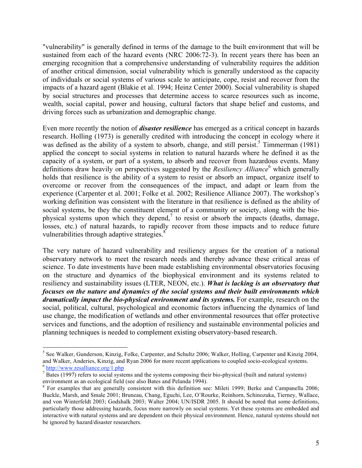"vulnerability" is generally defined in terms of the damage to the built environment that will be sustained from each of the hazard events (NRC 2006:72-3). In recent years there has been an emerging recognition that a comprehensive understanding of vulnerability requires the addition of another critical dimension, social vulnerability which is generally understood as the capacity of individuals or social systems of various scale to anticipate, cope, resist and recover from the impacts of a hazard agent (Blakie et al. 1994; Heinz Center 2000). Social vulnerability is shaped by social structures and processes that determine access to scarce resources such as income, wealth, social capital, power and housing, cultural factors that shape belief and customs, and driving forces such as urbanization and demographic change.

Even more recently the notion of *disaster resilience* has emerged as a critical concept in hazards research. Holling (1973) is generally credited with introducing the concept in ecology where it was defined as the ability of a system to absorb, change, and still persist.<sup>5</sup> Timmerman (1981) applied the concept to social systems in relation to natural hazards where he defined it as the capacity of a system, or part of a system, to absorb and recover from hazardous events. Many definitions draw heavily on perspectives suggested by the *Resiliency Alliance*<sup>6</sup> which generally holds that resilience is the ability of a system to resist or absorb an impact, organize itself to overcome or recover from the consequences of the impact, and adapt or learn from the experience (Carpenter et al. 2001; Folke et al. 2002; Resilience Alliance 2007). The workshop's working definition was consistent with the literature in that resilience is defined as the ability of social systems, be they the constituent element of a community or society, along with the biophysical systems upon which they depend,<sup>7</sup> to resist or absorb the impacts (deaths, damage, losses, etc.) of natural hazards, to rapidly recover from those impacts and to reduce future vulnerabilities through adaptive strategies.<sup>8</sup>

The very nature of hazard vulnerability and resiliency argues for the creation of a national observatory network to meet the research needs and thereby advance these critical areas of science. To date investments have been made establishing environmental observatories focusing on the structure and dynamics of the biophysical environment and its systems related to resiliency and sustainability issues (LTER, NEON, etc.). *What is lacking is an observatory that focuses on the nature and dynamics of the social systems and their built environments which dramatically impact the bio-physical environment and its systems.* For example, research on the social, political, cultural, psychological and economic factors influencing the dynamics of land use change, the modification of wetlands and other environmental resources that offer protective services and functions, and the adoption of resiliency and sustainable environmental policies and planning techniques is needed to complement existing observatory-based research.

 <sup>5</sup> <sup>5</sup> See Walker, Gunderson, Kinzig, Folke, Carpenter, and Schultz 2006; Walker, Holling, Carpenter and Kinzig 2004, and Walker, Anderies, Kinzig, and Ryan 2006 for more recent applications to coupled socio-ecological systems.<br><sup>6</sup> http://www.resalliance.org/1.php

 $<sup>7</sup>$  Bates (1997) refers to social systems and the systems composing their bio-physical (built and natural systems)</sup> environment as an ecological field (see also Bates and Pelanda 1994).

For examples that are generally consistent with this definition see: Mileti 1999; Berke and Campanella 2006; Buckle, Marsh, and Smale 2001; Bruneau, Chang, Eguchi, Lee, O'Rourke, Reinhorn, Schinozuka, Tierney, Wallace, and von Winterfeldt 2003; Godshalk 2003; Walter 2004; UN/ISDR 2005. It should be noted that some definitions, particularly those addressing hazards, focus more narrowly on social systems. Yet these systems are embedded and interactive with natural systems and are dependent on their physical environment. Hence, natural systems should not be ignored by hazard/disaster researchers.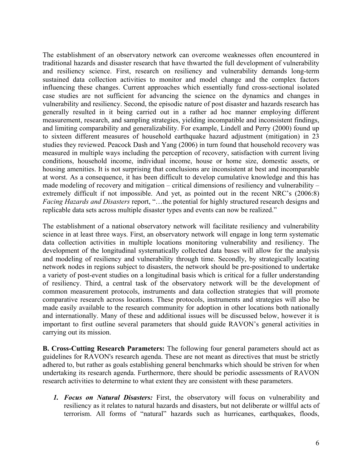The establishment of an observatory network can overcome weaknesses often encountered in traditional hazards and disaster research that have thwarted the full development of vulnerability and resiliency science. First, research on resiliency and vulnerability demands long-term sustained data collection activities to monitor and model change and the complex factors influencing these changes. Current approaches which essentially fund cross-sectional isolated case studies are not sufficient for advancing the science on the dynamics and changes in vulnerability and resiliency. Second, the episodic nature of post disaster and hazards research has generally resulted in it being carried out in a rather ad hoc manner employing different measurement, research, and sampling strategies, yielding incompatible and inconsistent findings, and limiting comparability and generalizability. For example, Lindell and Perry (2000) found up to sixteen different measures of household earthquake hazard adjustment (mitigation) in 23 studies they reviewed. Peacock Dash and Yang (2006) in turn found that household recovery was measured in multiple ways including the perception of recovery, satisfaction with current living conditions, household income, individual income, house or home size, domestic assets, or housing amenities. It is not surprising that conclusions are inconsistent at best and incomparable at worst. As a consequence, it has been difficult to develop cumulative knowledge and this has made modeling of recovery and mitigation – critical dimensions of resiliency and vulnerability – extremely difficult if not impossible. And yet, as pointed out in the recent NRC's (2006:8) *Facing Hazards and Disasters* report, "…the potential for highly structured research designs and replicable data sets across multiple disaster types and events can now be realized."

The establishment of a national observatory network will facilitate resiliency and vulnerability science in at least three ways. First, an observatory network will engage in long term systematic data collection activities in multiple locations monitoring vulnerability and resiliency. The development of the longitudinal systematically collected data bases will allow for the analysis and modeling of resiliency and vulnerability through time. Secondly, by strategically locating network nodes in regions subject to disasters, the network should be pre-positioned to undertake a variety of post-event studies on a longitudinal basis which is critical for a fuller understanding of resiliency. Third, a central task of the observatory network will be the development of common measurement protocols, instruments and data collection strategies that will promote comparative research across locations. These protocols, instruments and strategies will also be made easily available to the research community for adoption in other locations both nationally and internationally. Many of these and additional issues will be discussed below, however it is important to first outline several parameters that should guide RAVON's general activities in carrying out its mission.

**B. Cross-Cutting Research Parameters:** The following four general parameters should act as guidelines for RAVON's research agenda. These are not meant as directives that must be strictly adhered to, but rather as goals establishing general benchmarks which should be striven for when undertaking its research agenda. Furthermore, there should be periodic assessments of RAVON research activities to determine to what extent they are consistent with these parameters.

*1. Focus on Natural Disasters:* First, the observatory will focus on vulnerability and resiliency as it relates to natural hazards and disasters, but not deliberate or willful acts of terrorism. All forms of "natural" hazards such as hurricanes, earthquakes, floods,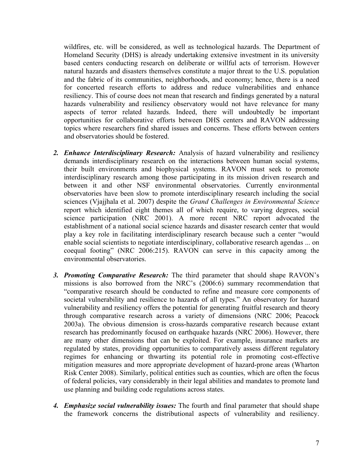wildfires, etc. will be considered, as well as technological hazards. The Department of Homeland Security (DHS) is already undertaking extensive investment in its university based centers conducting research on deliberate or willful acts of terrorism. However natural hazards and disasters themselves constitute a major threat to the U.S. population and the fabric of its communities, neighborhoods, and economy; hence, there is a need for concerted research efforts to address and reduce vulnerabilities and enhance resiliency. This of course does not mean that research and findings generated by a natural hazards vulnerability and resiliency observatory would not have relevance for many aspects of terror related hazards. Indeed, there will undoubtedly be important opportunities for collaborative efforts between DHS centers and RAVON addressing topics where researchers find shared issues and concerns. These efforts between centers and observatories should be fostered.

- *2. Enhance Interdisciplinary Research:* Analysis of hazard vulnerability and resiliency demands interdisciplinary research on the interactions between human social systems, their built environments and biophysical systems. RAVON must seek to promote interdisciplinary research among those participating in its mission driven research and between it and other NSF environmental observatories. Currently environmental observatories have been slow to promote interdisciplinary research including the social sciences (Vjajjhala et al. 2007) despite the *Grand Challenges in Environmental Science* report which identified eight themes all of which require, to varying degrees, social science participation (NRC 2001). A more recent NRC report advocated the establishment of a national social science hazards and disaster research center that would play a key role in facilitating interdisciplinary research because such a center "would enable social scientists to negotiate interdisciplinary, collaborative research agendas ... on coequal footing" (NRC 2006:215). RAVON can serve in this capacity among the environmental observatories.
- *3. Promoting Comparative Research:* The third parameter that should shape RAVON's missions is also borrowed from the NRC's (2006:6) summary recommendation that "comparative research should be conducted to refine and measure core components of societal vulnerability and resilience to hazards of all types." An observatory for hazard vulnerability and resiliency offers the potential for generating fruitful research and theory through comparative research across a variety of dimensions (NRC 2006; Peacock 2003a). The obvious dimension is cross-hazards comparative research because extant research has predominantly focused on earthquake hazards (NRC 2006). However, there are many other dimensions that can be exploited. For example, insurance markets are regulated by states, providing opportunities to comparatively assess different regulatory regimes for enhancing or thwarting its potential role in promoting cost-effective mitigation measures and more appropriate development of hazard-prone areas (Wharton Risk Center 2008). Similarly, political entities such as counties, which are often the focus of federal policies, vary considerably in their legal abilities and mandates to promote land use planning and building code regulations across states.
- *4. Emphasize social vulnerability issues:* The fourth and final parameter that should shape the framework concerns the distributional aspects of vulnerability and resiliency.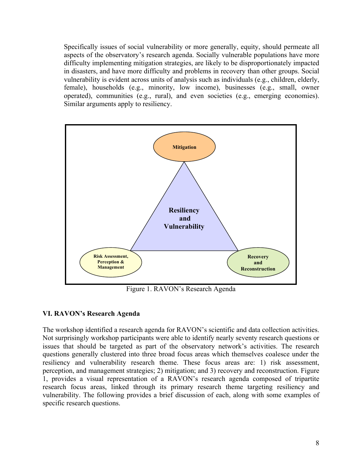Specifically issues of social vulnerability or more generally, equity, should permeate all aspects of the observatory's research agenda. Socially vulnerable populations have more difficulty implementing mitigation strategies, are likely to be disproportionately impacted in disasters, and have more difficulty and problems in recovery than other groups. Social vulnerability is evident across units of analysis such as individuals (e.g., children, elderly, female), households (e.g., minority, low income), businesses (e.g., small, owner operated), communities (e.g., rural), and even societies (e.g., emerging economies). Similar arguments apply to resiliency.



Figure 1. RAVON's Research Agenda

## **VI. RAVON's Research Agenda**

The workshop identified a research agenda for RAVON's scientific and data collection activities. Not surprisingly workshop participants were able to identify nearly seventy research questions or issues that should be targeted as part of the observatory network's activities. The research questions generally clustered into three broad focus areas which themselves coalesce under the resiliency and vulnerability research theme. These focus areas are: 1) risk assessment, perception, and management strategies; 2) mitigation; and 3) recovery and reconstruction. Figure 1, provides a visual representation of a RAVON's research agenda composed of tripartite research focus areas, linked through its primary research theme targeting resiliency and vulnerability. The following provides a brief discussion of each, along with some examples of specific research questions.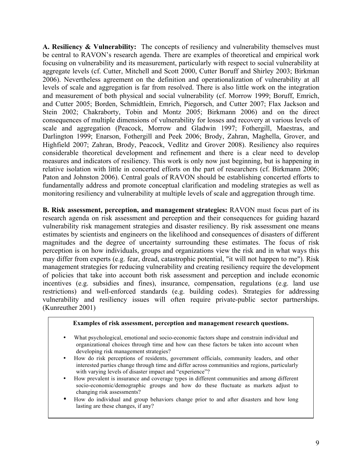**A. Resiliency & Vulnerability:** The concepts of resiliency and vulnerability themselves must be central to RAVON's research agenda. There are examples of theoretical and empirical work focusing on vulnerability and its measurement, particularly with respect to social vulnerability at aggregate levels (cf. Cutter, Mitchell and Scott 2000, Cutter Boruff and Shirley 2003; Birkman 2006). Nevertheless agreement on the definition and operationalization of vulnerability at all levels of scale and aggregation is far from resolved. There is also little work on the integration and measurement of both physical and social vulnerability (cf. Morrow 1999; Boruff, Emrich, and Cutter 2005; Borden, Schmidtlein, Emrich, Piegorsch, and Cutter 2007; Flax Jackson and Stein 2002; Chakraborty, Tobin and Montz 2005; Birkmann 2006) and on the direct consequences of multiple dimensions of vulnerability for losses and recovery at various levels of scale and aggregation (Peacock, Morrow and Gladwin 1997; Fothergill, Maestras, and Darlington 1999; Enarson, Fothergill and Peek 2006; Brody, Zahran, Maghella, Grover, and Highfield 2007; Zahran, Brody, Peacock, Vedlitz and Grover 2008). Resiliency also requires considerable theoretical development and refinement and there is a clear need to develop measures and indicators of resiliency. This work is only now just beginning, but is happening in relative isolation with little in concerted efforts on the part of researchers (cf. Birkmann 2006; Paton and Johnston 2006). Central goals of RAVON should be establishing concerted efforts to fundamentally address and promote conceptual clarification and modeling strategies as well as monitoring resiliency and vulnerability at multiple levels of scale and aggregation through time.

**B. Risk assessment, perception, and management strategies:** RAVON must focus part of its research agenda on risk assessment and perception and their consequences for guiding hazard vulnerability risk management strategies and disaster resiliency. By risk assessment one means estimates by scientists and engineers on the likelihood and consequences of disasters of different magnitudes and the degree of uncertainty surrounding these estimates. The focus of risk perception is on how individuals, groups and organizations view the risk and in what ways this may differ from experts (e.g. fear, dread, catastrophic potential, "it will not happen to me"). Risk management strategies for reducing vulnerability and creating resiliency require the development of policies that take into account both risk assessment and perception and include economic incentives (e.g. subsidies and fines), insurance, compensation, regulations (e.g. land use restrictions) and well-enforced standards (e.g. building codes). Strategies for addressing vulnerability and resiliency issues will often require private-public sector partnerships. (Kunreuther 2001)

#### **Examples of risk assessment, perception and management research questions.**

- What psychological, emotional and socio-economic factors shape and constrain individual and organizational choices through time and how can these factors be taken into account when developing risk management strategies?
- How do risk perceptions of residents, government officials, community leaders, and other interested parties change through time and differ across communities and regions, particularly with varying levels of disaster impact and "experience"?
- How prevalent is insurance and coverage types in different communities and among different socio-economic/demographic groups and how do these fluctuate as markets adjust to changing risk assessments?
- How do individual and group behaviors change prior to and after disasters and how long lasting are these changes, if any?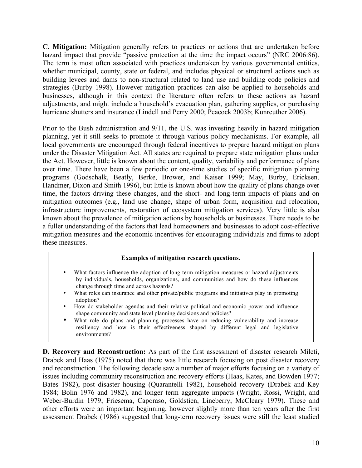**C. Mitigation:** Mitigation generally refers to practices or actions that are undertaken before hazard impact that provide "passive protection at the time the impact occurs" (NRC 2006:86). The term is most often associated with practices undertaken by various governmental entities, whether municipal, county, state or federal, and includes physical or structural actions such as building levees and dams to non-structural related to land use and building code policies and strategies (Burby 1998). However mitigation practices can also be applied to households and businesses, although in this context the literature often refers to these actions as hazard adjustments, and might include a household's evacuation plan, gathering supplies, or purchasing hurricane shutters and insurance (Lindell and Perry 2000; Peacock 2003b; Kunreuther 2006).

Prior to the Bush administration and 9/11, the U.S. was investing heavily in hazard mitigation planning, yet it still seeks to promote it through various policy mechanisms. For example, all local governments are encouraged through federal incentives to prepare hazard mitigation plans under the Disaster Mitigation Act. All states are required to prepare state mitigation plans under the Act. However, little is known about the content, quality, variability and performance of plans over time. There have been a few periodic or one-time studies of specific mitigation planning programs (Godschalk, Beatly, Berke, Brower, and Kaiser 1999; May, Burby, Ericksen, Handmer, Dixon and Smith 1996), but little is known about how the quality of plans change over time, the factors driving these changes, and the short- and long-term impacts of plans and on mitigation outcomes (e.g., land use change, shape of urban form, acquisition and relocation, infrastructure improvements, restoration of ecosystem mitigation services). Very little is also known about the prevalence of mitigation actions by households or businesses. There needs to be a fuller understanding of the factors that lead homeowners and businesses to adopt cost-effective mitigation measures and the economic incentives for encouraging individuals and firms to adopt these measures.

#### **Examples of mitigation research questions.**

- What factors influence the adoption of long-term mitigation measures or hazard adjustments by individuals, households, organizations, and communities and how do these influences change through time and across hazards?
- What roles can insurance and other private/public programs and initiatives play in promoting adoption?
- How do stakeholder agendas and their relative political and economic power and influence shape community and state level planning decisions and policies?
- What role do plans and planning processes have on reducing vulnerability and increase resiliency and how is their effectiveness shaped by different legal and legislative environments?

**D. Recovery and Reconstruction:** As part of the first assessment of disaster research Mileti, Drabek and Haas (1975) noted that there was little research focusing on post disaster recovery and reconstruction. The following decade saw a number of major efforts focusing on a variety of issues including community reconstruction and recovery efforts (Haas, Kates, and Bowden 1977; Bates 1982), post disaster housing (Quarantelli 1982), household recovery (Drabek and Key 1984; Bolin 1976 and 1982), and longer term aggregate impacts (Wright, Rossi, Wright, and Weber-Burdin 1979; Friesema, Caporaso, Goldstien, Lineberry, McCleary 1979). These and other efforts were an important beginning, however slightly more than ten years after the first assessment Drabek (1986) suggested that long-term recovery issues were still the least studied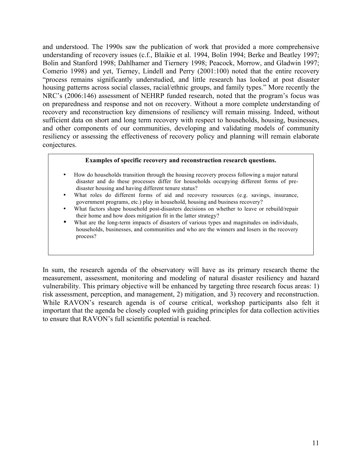and understood. The 1990s saw the publication of work that provided a more comprehensive understanding of recovery issues (c.f., Blaikie et al. 1994, Bolin 1994; Berke and Beatley 1997; Bolin and Stanford 1998; Dahlhamer and Tiernery 1998; Peacock, Morrow, and Gladwin 1997; Comerio 1998) and yet, Tierney, Lindell and Perry (2001:100) noted that the entire recovery "process remains significantly understudied, and little research has looked at post disaster housing patterns across social classes, racial/ethnic groups, and family types." More recently the NRC's (2006:146) assessment of NEHRP funded research, noted that the program's focus was on preparedness and response and not on recovery. Without a more complete understanding of recovery and reconstruction key dimensions of resiliency will remain missing. Indeed, without sufficient data on short and long term recovery with respect to households, housing, businesses, and other components of our communities, developing and validating models of community resiliency or assessing the effectiveness of recovery policy and planning will remain elaborate conjectures.

#### **Examples of specific recovery and reconstruction research questions.**

- How do households transition through the housing recovery process following a major natural disaster and do these processes differ for households occupying different forms of predisaster housing and having different tenure status?
- What roles do different forms of aid and recovery resources (e.g. savings, insurance, government programs, etc.) play in household, housing and business recovery?
- What factors shape household post-disasters decisions on whether to leave or rebuild/repair their home and how does mitigation fit in the latter strategy?
- What are the long-term impacts of disasters of various types and magnitudes on individuals, households, businesses, and communities and who are the winners and losers in the recovery process?

In sum, the research agenda of the observatory will have as its primary research theme the measurement, assessment, monitoring and modeling of natural disaster resiliency and hazard vulnerability. This primary objective will be enhanced by targeting three research focus areas: 1) risk assessment, perception, and management, 2) mitigation, and 3) recovery and reconstruction. While RAVON's research agenda is of course critical, workshop participants also felt it important that the agenda be closely coupled with guiding principles for data collection activities to ensure that RAVON's full scientific potential is reached.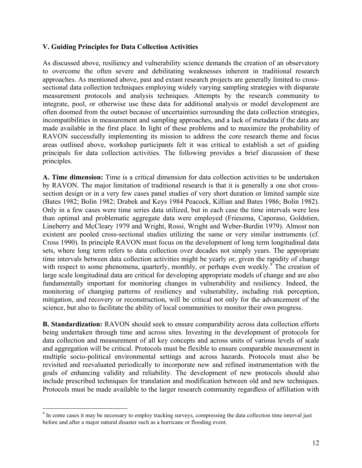### **V. Guiding Principles for Data Collection Activities**

As discussed above, resiliency and vulnerability science demands the creation of an observatory to overcome the often severe and debilitating weaknesses inherent in traditional research approaches. As mentioned above, past and extant research projects are generally limited to crosssectional data collection techniques employing widely varying sampling strategies with disparate measurement protocols and analysis techniques. Attempts by the research community to integrate, pool, or otherwise use these data for additional analysis or model development are often doomed from the outset because of uncertainties surrounding the data collection strategies, incompatibilities in measurement and sampling approaches, and a lack of metadata if the data are made available in the first place. In light of these problems and to maximize the probability of RAVON successfully implementing its mission to address the core research theme and focus areas outlined above, workshop participants felt it was critical to establish a set of guiding principals for data collection activities. The following provides a brief discussion of these principles.

**A. Time dimension:** Time is a critical dimension for data collection activities to be undertaken by RAVON. The major limitation of traditional research is that it is generally a one shot crosssection design or in a very few cases panel studies of very short duration or limited sample size (Bates 1982; Bolin 1982; Drabek and Keys 1984 Peacock, Killian and Bates 1986; Bolin 1982). Only in a few cases were time series data utilized, but in each case the time intervals were less than optimal and problematic aggregate data were employed (Friesema, Caporaso, Goldstien, Lineberry and McCleary 1979 and Wright, Rossi, Wright and Weber-Burdin 1979). Almost non existent are pooled cross-sectional studies utilizing the same or very similar instruments (cf. Cross 1990). In principle RAVON must focus on the development of long term longitudinal data sets, where long term refers to data collection over decades not simply years. The appropriate time intervals between data collection activities might be yearly or, given the rapidity of change with respect to some phenomena, quarterly, monthly, or perhaps even weekly.<sup>9</sup> The creation of large scale longitudinal data are critical for developing appropriate models of change and are also fundamentally important for monitoring changes in vulnerability and resiliency. Indeed, the monitoring of changing patterns of resiliency and vulnerability, including risk perception, mitigation, and recovery or reconstruction, will be critical not only for the advancement of the science, but also to facilitate the ability of local communities to monitor their own progress.

**B. Standardization:** RAVON should seek to ensure comparability across data collection efforts being undertaken through time and across sites. Investing in the development of protocols for data collection and measurement of all key concepts and across units of various levels of scale and aggregation will be critical. Protocols must be flexible to ensure comparable measurement in multiple socio-political environmental settings and across hazards. Protocols must also be revisited and reevaluated periodically to incorporate new and refined instrumentation with the goals of enhancing validity and reliability. The development of new protocols should also include prescribed techniques for translation and modification between old and new techniques. Protocols must be made available to the larger research community regardless of affiliation with

<sup>-&</sup>lt;br>9 <sup>9</sup> In come cases it may be necessary to employ tracking surveys, compressing the data collection time interval just before and after a major natural disaster such as a hurricane or flooding event.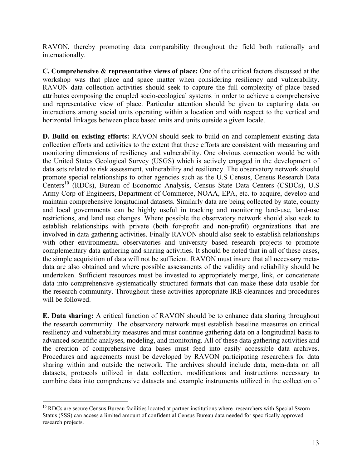RAVON, thereby promoting data comparability throughout the field both nationally and internationally.

**C. Comprehensive & representative views of place:** One of the critical factors discussed at the workshop was that place and space matter when considering resiliency and vulnerability. RAVON data collection activities should seek to capture the full complexity of place based attributes composing the coupled socio-ecological systems in order to achieve a comprehensive and representative view of place. Particular attention should be given to capturing data on interactions among social units operating within a location and with respect to the vertical and horizontal linkages between place based units and units outside a given locale.

**D. Build on existing efforts:** RAVON should seek to build on and complement existing data collection efforts and activities to the extent that these efforts are consistent with measuring and monitoring dimensions of resiliency and vulnerability. One obvious connection would be with the United States Geological Survey (USGS) which is actively engaged in the development of data sets related to risk assessment, vulnerability and resiliency. The observatory network should promote special relationships to other agencies such as the U.S Census, Census Research Data Centers<sup>10</sup> (RDCs), Bureau of Economic Analysis, Census State Data Centers (CSDCs), U.S. Army Corp of Engineers, Department of Commerce, NOAA, EPA, etc. to acquire, develop and maintain comprehensive longitudinal datasets. Similarly data are being collected by state, county and local governments can be highly useful in tracking and monitoring land-use, land-use restrictions, and land use changes. Where possible the observatory network should also seek to establish relationships with private (both for-profit and non-profit) organizations that are involved in data gathering activities. Finally RAVON should also seek to establish relationships with other environmental observatories and university based research projects to promote complementary data gathering and sharing activities. It should be noted that in all of these cases, the simple acquisition of data will not be sufficient. RAVON must insure that all necessary metadata are also obtained and where possible assessments of the validity and reliability should be undertaken. Sufficient resources must be invested to appropriately merge, link, or concatenate data into comprehensive systematically structured formats that can make these data usable for the research community. Throughout these activities appropriate IRB clearances and procedures will be followed.

**E. Data sharing:** A critical function of RAVON should be to enhance data sharing throughout the research community. The observatory network must establish baseline measures on critical resiliency and vulnerability measures and must continue gathering data on a longitudinal basis to advanced scientific analyses, modeling, and monitoring. All of these data gathering activities and the creation of comprehensive data bases must feed into easily accessible data archives. Procedures and agreements must be developed by RAVON participating researchers for data sharing within and outside the network. The archives should include data, meta-data on all datasets, protocols utilized in data collection, modifications and instructions necessary to combine data into comprehensive datasets and example instruments utilized in the collection of

<sup>&</sup>lt;sup>10</sup> RDCs are secure Census Bureau facilities located at partner institutions where researchers with Special Sworn Status (SSS) can access a limited amount of confidential Census Bureau data needed for specifically approved research projects.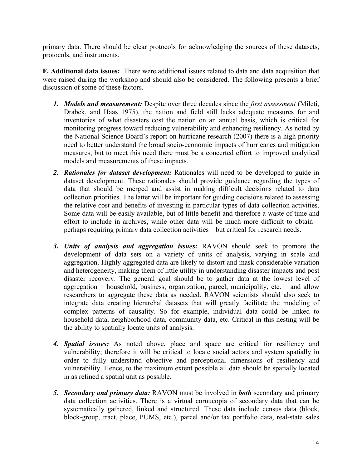primary data. There should be clear protocols for acknowledging the sources of these datasets, protocols, and instruments.

**F. Additional data issues:** There were additional issues related to data and data acquisition that were raised during the workshop and should also be considered. The following presents a brief discussion of some of these factors.

- *1. Models and measurement:* Despite over three decades since the *first assessment* (Mileti, Drabek, and Haas 1975), the nation and field still lacks adequate measures for and inventories of what disasters cost the nation on an annual basis, which is critical for monitoring progress toward reducing vulnerability and enhancing resiliency. As noted by the National Science Board's report on hurricane research (2007) there is a high priority need to better understand the broad socio-economic impacts of hurricanes and mitigation measures, but to meet this need there must be a concerted effort to improved analytical models and measurements of these impacts.
- *2. Rationales for dataset development:* Rationales will need to be developed to guide in dataset development. These rationales should provide guidance regarding the types of data that should be merged and assist in making difficult decisions related to data collection priorities. The latter will be important for guiding decisions related to assessing the relative cost and benefits of investing in particular types of data collection activities. Some data will be easily available, but of little benefit and therefore a waste of time and effort to include in archives, while other data will be much more difficult to obtain – perhaps requiring primary data collection activities – but critical for research needs.
- *3. Units of analysis and aggregation issues:* RAVON should seek to promote the development of data sets on a variety of units of analysis, varying in scale and aggregation. Highly aggregated data are likely to distort and mask considerable variation and heterogeneity, making them of little utility in understanding disaster impacts and post disaster recovery. The general goal should be to gather data at the lowest level of aggregation – household, business, organization, parcel, municipality, etc. – and allow researchers to aggregate these data as needed. RAVON scientists should also seek to integrate data creating hierarchal datasets that will greatly facilitate the modeling of complex patterns of causality. So for example, individual data could be linked to household data, neighborhood data, community data, etc. Critical in this nesting will be the ability to spatially locate units of analysis.
- *4. Spatial issues:* As noted above, place and space are critical for resiliency and vulnerability; therefore it will be critical to locate social actors and system spatially in order to fully understand objective and perceptional dimensions of resiliency and vulnerability. Hence, to the maximum extent possible all data should be spatially located in as refined a spatial unit as possible.
- *5. Secondary and primary data:* RAVON must be involved in *both* secondary and primary data collection activities. There is a virtual cornucopia of secondary data that can be systematically gathered, linked and structured. These data include census data (block, block-group, tract, place, PUMS, etc.), parcel and/or tax portfolio data, real-state sales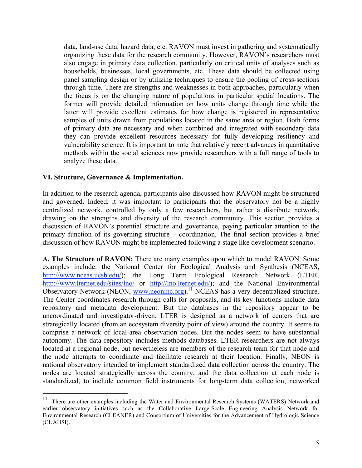data, land-use data, hazard data, etc. RAVON must invest in gathering and systematically organizing these data for the research community. However, RAVON's researchers must also engage in primary data collection, particularly on critical units of analyses such as households, businesses, local governments, etc. These data should be collected using panel sampling design or by utilizing techniques to ensure the pooling of cross-sections through time. There are strengths and weaknesses in both approaches, particularly when the focus is on the changing nature of populations in particular spatial locations. The former will provide detailed information on how units change through time while the latter will provide excellent estimates for how change is registered in representative samples of units drawn from populations located in the same area or region. Both forms of primary data are necessary and when combined and integrated with secondary data they can provide excellent resources necessary for fully developing resiliency and vulnerability science. It is important to note that relatively recent advances in quantitative methods within the social sciences now provide researchers with a full range of tools to analyze these data.

### **VI. Structure, Governance & Implementation.**

In addition to the research agenda, participants also discussed how RAVON might be structured and governed. Indeed, it was important to participants that the observatory not be a highly centralized network, controlled by only a few researchers, but rather a distribute network, drawing on the strengths and diversity of the research community. This section provides a discussion of RAVON's potential structure and governance, paying particular attention to the primary function of its governing structure – coordination. The final section provides a brief discussion of how RAVON might be implemented following a stage like development scenario.

**A. The Structure of RAVON:** There are many examples upon which to model RAVON. Some examples include: the National Center for Ecological Analysis and Synthesis (NCEAS, http://www.nceas.ucsb.edu/); the Long Term Ecological Research Network (LTER, http://www.lternet.edu/sites/lno/ or http://lno.lternet.edu/); and the National Environmental Observatory Network (NEON, www.neoninc.org).<sup>11</sup> NCEAS has a very decentralized structure. The Center coordinates research through calls for proposals, and its key functions include data repository and metadata development. But the databases in the repository appear to be uncoordinated and investigator-driven. LTER is designed as a network of centers that are strategically located (from an ecosystem diversity point of view) around the country. It seems to comprise a network of local-area observation nodes. But the nodes seem to have substantial autonomy. The data repository includes methods databases. LTER researchers are not always located at a regional node, but nevertheless are members of the research team for that node and the node attempts to coordinate and facilitate research at their location. Finally, NEON is national observatory intended to implement standardized data collection across the country. The nodes are located strategically across the country, and the data collection at each node is standardized, to include common field instruments for long-term data collection, networked

<sup>&</sup>lt;sup>11</sup> There are other examples including the Water and Environmental Research Systems (WATERS) Network and earlier observatory initiatives such as the Collaborative Large-Scale Engineering Analysis Network for Environmental Research (CLEANER) and Consortium of Universities for the Advancement of Hydrologic Science (CUAHSI).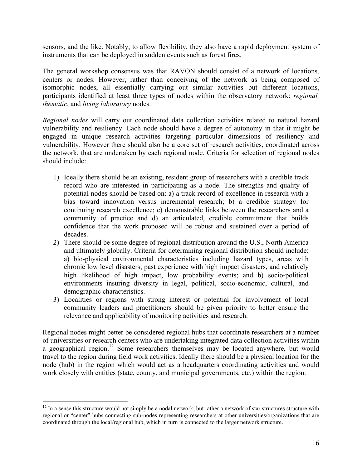sensors, and the like. Notably, to allow flexibility, they also have a rapid deployment system of instruments that can be deployed in sudden events such as forest fires.

The general workshop consensus was that RAVON should consist of a network of locations, centers or nodes. However, rather than conceiving of the network as being composed of isomorphic nodes, all essentially carrying out similar activities but different locations, participants identified at least three types of nodes within the observatory network: *regional, thematic*, and *living laboratory* nodes.

*Regional nodes* will carry out coordinated data collection activities related to natural hazard vulnerability and resiliency. Each node should have a degree of autonomy in that it might be engaged in unique research activities targeting particular dimensions of resiliency and vulnerability. However there should also be a core set of research activities, coordinated across the network, that are undertaken by each regional node. Criteria for selection of regional nodes should include:

- 1) Ideally there should be an existing, resident group of researchers with a credible track record who are interested in participating as a node. The strengths and quality of potential nodes should be based on: a) a track record of excellence in research with a bias toward innovation versus incremental research; b) a credible strategy for continuing research excellence; c) demonstrable links between the researchers and a community of practice and d) an articulated, credible commitment that builds confidence that the work proposed will be robust and sustained over a period of decades.
- 2) There should be some degree of regional distribution around the U.S., North America and ultimately globally. Criteria for determining regional distribution should include: a) bio-physical environmental characteristics including hazard types, areas with chronic low level disasters, past experience with high impact disasters, and relatively high likelihood of high impact, low probability events; and b) socio-political environments insuring diversity in legal, political, socio-economic, cultural, and demographic characteristics.
- 3) Localities or regions with strong interest or potential for involvement of local community leaders and practitioners should be given priority to better ensure the relevance and applicability of monitoring activities and research.

Regional nodes might better be considered regional hubs that coordinate researchers at a number of universities or research centers who are undertaking integrated data collection activities within a geographical region.<sup>12</sup> Some researchers themselves may be located anywhere, but would travel to the region during field work activities. Ideally there should be a physical location for the node (hub) in the region which would act as a headquarters coordinating activities and would work closely with entities (state, county, and municipal governments, etc.) within the region.

 $12$  In a sense this structure would not simply be a nodal network, but rather a network of star structures structure with regional or "center" hubs connecting sub-nodes representing researchers at other universities/organizations that are coordinated through the local/regional hub, which in turn is connected to the larger network structure.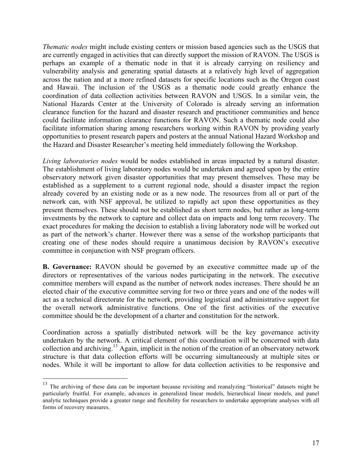*Thematic nodes* might include existing centers or mission based agencies such as the USGS that are currently engaged in activities that can directly support the mission of RAVON. The USGS is perhaps an example of a thematic node in that it is already carrying on resiliency and vulnerability analysis and generating spatial datasets at a relatively high level of aggregation across the nation and at a more refined datasets for specific locations such as the Oregon coast and Hawaii. The inclusion of the USGS as a thematic node could greatly enhance the coordination of data collection activities between RAVON and USGS. In a similar vein, the National Hazards Center at the University of Colorado is already serving an information clearance function for the hazard and disaster research and practitioner communities and hence could facilitate information clearance functions for RAVON. Such a thematic node could also facilitate information sharing among researchers working within RAVON by providing yearly opportunities to present research papers and posters at the annual National Hazard Workshop and the Hazard and Disaster Researcher's meeting held immediately following the Workshop.

*Living laboratories nodes* would be nodes established in areas impacted by a natural disaster. The establishment of living laboratory nodes would be undertaken and agreed upon by the entire observatory network given disaster opportunities that may present themselves. These may be established as a supplement to a current regional node, should a disaster impact the region already covered by an existing node or as a new node. The resources from all or part of the network can, with NSF approval, be utilized to rapidly act upon these opportunities as they present themselves. These should not be established as short term nodes, but rather as long-term investments by the network to capture and collect data on impacts and long term recovery. The exact procedures for making the decision to establish a living laboratory node will be worked out as part of the network's charter. However there was a sense of the workshop participants that creating one of these nodes should require a unanimous decision by RAVON's executive committee in conjunction with NSF program officers.

**B. Governance:** RAVON should be governed by an executive committee made up of the directors or representatives of the various nodes participating in the network. The executive committee members will expand as the number of network nodes increases. There should be an elected chair of the executive committee serving for two or three years and one of the nodes will act as a technical directorate for the network, providing logistical and administrative support for the overall network administrative functions. One of the first activities of the executive committee should be the development of a charter and constitution for the network.

Coordination across a spatially distributed network will be the key governance activity undertaken by the network. A critical element of this coordination will be concerned with data collection and archiving.13 Again, implicit in the notion of the creation of an observatory network structure is that data collection efforts will be occurring simultaneously at multiple sites or nodes. While it will be important to allow for data collection activities to be responsive and

<sup>&</sup>lt;sup>13</sup> The archiving of these data can be important because revisiting and reanalyzing "historical" datasets might be particularly fruitful. For example, advances in generalized linear models, hierarchical linear models, and panel analytic techniques provide a greater range and flexibility for researchers to undertake appropriate analyses with all forms of recovery measures.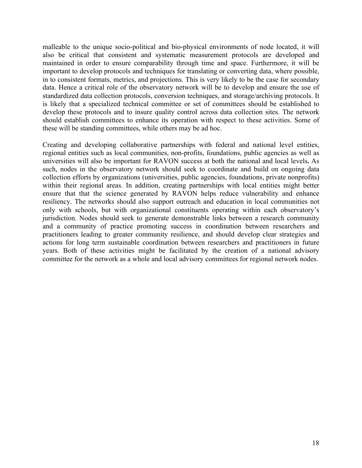malleable to the unique socio-political and bio-physical environments of node located, it will also be critical that consistent and systematic measurement protocols are developed and maintained in order to ensure comparability through time and space. Furthermore, it will be important to develop protocols and techniques for translating or converting data, where possible, in to consistent formats, metrics, and projections. This is very likely to be the case for secondary data. Hence a critical role of the observatory network will be to develop and ensure the use of standardized data collection protocols, conversion techniques, and storage/archiving protocols. It is likely that a specialized technical committee or set of committees should be established to develop these protocols and to insure quality control across data collection sites. The network should establish committees to enhance its operation with respect to these activities. Some of these will be standing committees, while others may be ad hoc.

Creating and developing collaborative partnerships with federal and national level entities, regional entities such as local communities, non-profits, foundations, public agencies as well as universities will also be important for RAVON success at both the national and local levels**.** As such, nodes in the observatory network should seek to coordinate and build on ongoing data collection efforts by organizations (universities, public agencies, foundations, private nonprofits) within their regional areas. In addition, creating partnerships with local entities might better ensure that that the science generated by RAVON helps reduce vulnerability and enhance resiliency. The networks should also support outreach and education in local communities not only with schools, but with organizational constituents operating within each observatory's jurisdiction. Nodes should seek to generate demonstrable links between a research community and a community of practice promoting success in coordination between researchers and practitioners leading to greater community resilience, and should develop clear strategies and actions for long term sustainable coordination between researchers and practitioners in future years. Both of these activities might be facilitated by the creation of a national advisory committee for the network as a whole and local advisory committees for regional network nodes.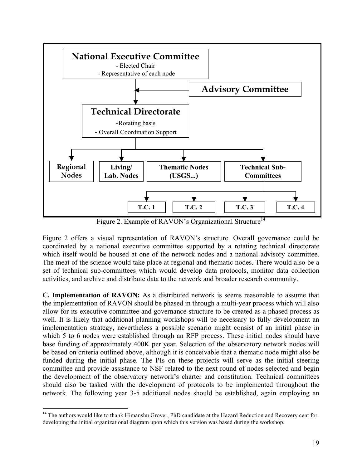

Figure 2. Example of RAVON's Organizational Structure<sup>14</sup>

Figure 2 offers a visual representation of RAVON's structure. Overall governance could be coordinated by a national executive committee supported by a rotating technical directorate which itself would be housed at one of the network nodes and a national advisory committee. The meat of the science would take place at regional and thematic nodes. There would also be a set of technical sub-committees which would develop data protocols, monitor data collection activities, and archive and distribute data to the network and broader research community.

**C. Implementation of RAVON:** As a distributed network is seems reasonable to assume that the implementation of RAVON should be phased in through a multi-year process which will also allow for its executive committee and governance structure to be created as a phased process as well. It is likely that additional planning workshops will be necessary to fully development an implementation strategy, nevertheless a possible scenario might consist of an initial phase in which 5 to 6 nodes were established through an RFP process. These initial nodes should have base funding of approximately 400K per year. Selection of the observatory network nodes will be based on criteria outlined above, although it is conceivable that a thematic node might also be funded during the initial phase. The PIs on these projects will serve as the initial steering committee and provide assistance to NSF related to the next round of nodes selected and begin the development of the observatory network's charter and constitution. Technical committees should also be tasked with the development of protocols to be implemented throughout the network. The following year 3-5 additional nodes should be established, again employing an

<sup>&</sup>lt;sup>14</sup> The authors would like to thank Himanshu Grover, PhD candidate at the Hazard Reduction and Recovery cent for developing the initial organizational diagram upon which this version was based during the workshop.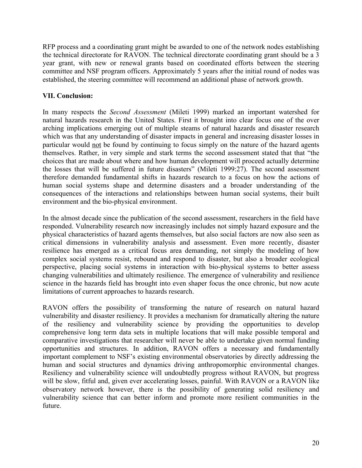RFP process and a coordinating grant might be awarded to one of the network nodes establishing the technical directorate for RAVON. The technical directorate coordinating grant should be a 3 year grant, with new or renewal grants based on coordinated efforts between the steering committee and NSF program officers. Approximately 5 years after the initial round of nodes was established, the steering committee will recommend an additional phase of network growth.

## **VII. Conclusion:**

In many respects the *Second Assessment* (Mileti 1999) marked an important watershed for natural hazards research in the United States. First it brought into clear focus one of the over arching implications emerging out of multiple steams of natural hazards and disaster research which was that any understanding of disaster impacts in general and increasing disaster losses in particular would not be found by continuing to focus simply on the nature of the hazard agents themselves. Rather, in very simple and stark terms the second assessment stated that that "the choices that are made about where and how human development will proceed actually determine the losses that will be suffered in future disasters" (Mileti 1999:27). The second assessment therefore demanded fundamental shifts in hazards research to a focus on how the actions of human social systems shape and determine disasters and a broader understanding of the consequences of the interactions and relationships between human social systems, their built environment and the bio-physical environment.

In the almost decade since the publication of the second assessment, researchers in the field have responded. Vulnerability research now increasingly includes not simply hazard exposure and the physical characteristics of hazard agents themselves, but also social factors are now also seen as critical dimensions in vulnerability analysis and assessment. Even more recently, disaster resilience has emerged as a critical focus area demanding, not simply the modeling of how complex social systems resist, rebound and respond to disaster, but also a broader ecological perspective, placing social systems in interaction with bio-physical systems to better assess changing vulnerabilities and ultimately resilience. The emergence of vulnerability and resilience science in the hazards field has brought into even shaper focus the once chronic, but now acute limitations of current approaches to hazards research.

RAVON offers the possibility of transforming the nature of research on natural hazard vulnerability and disaster resiliency. It provides a mechanism for dramatically altering the nature of the resiliency and vulnerability science by providing the opportunities to develop comprehensive long term data sets in multiple locations that will make possible temporal and comparative investigations that researcher will never be able to undertake given normal funding opportunities and structures. In addition, RAVON offers a necessary and fundamentally important complement to NSF's existing environmental observatories by directly addressing the human and social structures and dynamics driving anthropomorphic environmental changes. Resiliency and vulnerability science will undoubtedly progress without RAVON, but progress will be slow, fitful and, given ever accelerating losses, painful. With RAVON or a RAVON like observatory network however, there is the possibility of generating solid resiliency and vulnerability science that can better inform and promote more resilient communities in the future.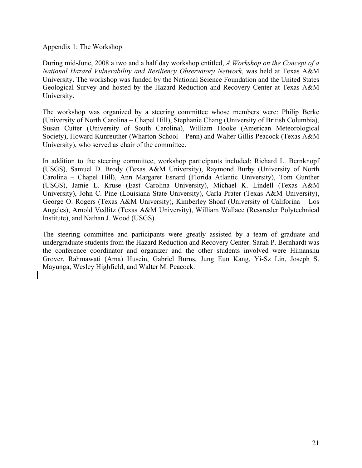Appendix 1: The Workshop

During mid-June, 2008 a two and a half day workshop entitled, *A Workshop on the Concept of a National Hazard Vulnerability and Resiliency Observatory Network*, was held at Texas A&M University. The workshop was funded by the National Science Foundation and the United States Geological Survey and hosted by the Hazard Reduction and Recovery Center at Texas A&M University.

The workshop was organized by a steering committee whose members were: Philip Berke (University of North Carolina – Chapel Hill), Stephanie Chang (University of British Columbia), Susan Cutter (University of South Carolina), William Hooke (American Meteorological Society), Howard Kunreuther (Wharton School – Penn) and Walter Gillis Peacock (Texas A&M University), who served as chair of the committee.

In addition to the steering committee, workshop participants included: Richard L. Bernknopf (USGS), Samuel D. Brody (Texas A&M University), Raymond Burby (University of North Carolina – Chapel Hill), Ann Margaret Esnard (Florida Atlantic University), Tom Gunther (USGS), Jamie L. Kruse (East Carolina University), Michael K. Lindell (Texas A&M University), John C. Pine (Louisiana State University), Carla Prater (Texas A&M University), George O. Rogers (Texas A&M University), Kimberley Shoaf (University of Califorina – Los Angeles), Arnold Vedlitz (Texas A&M University), William Wallace (Ressresler Polytechnical Institute), and Nathan J. Wood (USGS).

The steering committee and participants were greatly assisted by a team of graduate and undergraduate students from the Hazard Reduction and Recovery Center. Sarah P. Bernhardt was the conference coordinator and organizer and the other students involved were Himanshu Grover, Rahmawati (Ama) Husein, Gabriel Burns, Jung Eun Kang, Yi-Sz Lin, Joseph S. Mayunga, Wesley Highfield, and Walter M. Peacock.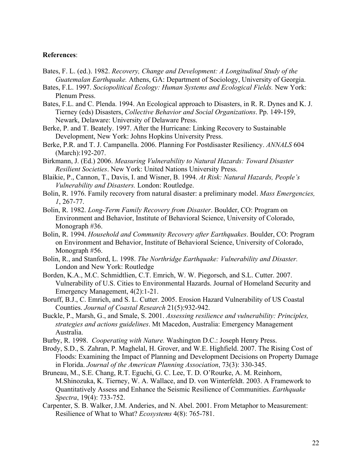#### **References**:

- Bates, F. L. (ed.). 1982. *Recovery, Change and Development: A Longitudinal Study of the Guatemalan Earthquake.* Athens, GA: Department of Sociology, University of Georgia.
- Bates, F.L. 1997. *Sociopolitical Ecology: Human Systems and Ecological Fields.* New York: Plenum Press.
- Bates, F.L. and C. Plenda. 1994. An Ecological approach to Disasters, in R. R. Dynes and K. J. Tierney (eds) Disasters, *Collective Behavior and Social Organizations*. Pp. 149-159, Newark, Delaware: University of Delaware Press.
- Berke, P. and T. Beately. 1997. After the Hurricane: Linking Recovery to Sustainable Development, New York: Johns Hopkins University Press.
- Berke, P.R. and T. J. Campanella. 2006. Planning For Postdisaster Resiliency. *ANNALS* 604 (March):192-207.
- Birkmann, J. (Ed.) 2006. *Measuring Vulnerability to Natural Hazards: Toward Disaster Resilient Societies*. New York: United Nations University Press.
- Blaikie, P., Cannon, T., Davis, I. and Wisner, B. 1994. *At Risk: Natural Hazards, People's Vulnerability and Disasters.* London: Routledge.
- Bolin, R. 1976. Family recovery from natural disaster: a preliminary model. *Mass Emergencies, 1*, 267-77.
- Bolin, R. 1982. *Long-Term Family Recovery from Disaster*. Boulder, CO: Program on Environment and Behavior, Institute of Behavioral Science, University of Colorado, Monograph #36.
- Bolin, R. 1994. *Household and Community Recovery after Earthquakes*. Boulder, CO: Program on Environment and Behavior, Institute of Behavioral Science, University of Colorado, Monograph #56.
- Bolin, R., and Stanford, L. 1998. *The Northridge Earthquake: Vulnerability and Disaster.*  London and New York: Routledge
- Borden, K.A., M.C. Schmidtlien, C.T. Emrich, W. W. Piegorsch, and S.L. Cutter. 2007. Vulnerability of U.S. Cities to Environmental Hazards. Journal of Homeland Security and Emergency Management, 4(2):1-21.
- Boruff, B.J., C. Emrich, and S. L. Cutter. 2005. Erosion Hazard Vulnerability of US Coastal Counties. *Journal of Coastal Research* 21(5):932-942.
- Buckle, P., Marsh, G., and Smale, S. 2001. *Assessing resilience and vulnerability: Principles, strategies and actions guidelines*. Mt Macedon, Australia: Emergency Management Australia.
- Burby, R. 1998. *Cooperating with Nature.* Washington D.C.: Joseph Henry Press.
- Brody, S.D., S. Zahran, P. Maghelal, H. Grover, and W.E. Highfield. 2007. The Rising Cost of Floods: Examining the Impact of Planning and Development Decisions on Property Damage in Florida. *Journal of the American Planning Association*, 73(3): 330-345.
- Bruneau, M., S.E. Chang, R.T. Eguchi, G. C. Lee, T. D. O'Rourke, A. M. Reinhorn, M.Shinozuka, K. Tierney, W. A. Wallace, and D. von Winterfeldt. 2003. A Framework to Quantitatively Assess and Enhance the Seismic Resilience of Communities. *Earthquake Spectra*, 19(4): 733-752.
- Carpenter, S. B. Walker, J.M. Anderies, and N. Abel. 2001. From Metaphor to Measurement: Resilience of What to What? *Ecosystems* 4(8): 765-781.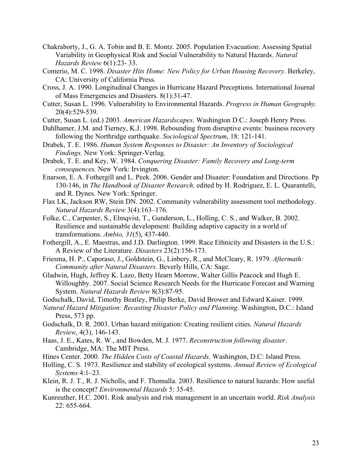- Chakraborty, J., G. A. Tobin and B. E. Montz. 2005. Population Evacuation: Assessing Spatial Variability in Geophysical Risk and Social Vulnerability to Natural Hazards. *Natural Hazards Review* 6(1):23- 33.
- Comerio, M. C. 1998. *Disaster Hits Home: New Policy for Urban Housing Recovery*. Berkeley, CA: University of California Press.
- Cross, J. A. 1990. Longitudinal Changes in Hurricane Hazard Preceptions. International Journal of Mass Emergencies and Disasters. 8(1):31-47.
- Cutter, Susan L. 1996. Vulnerability to Environmental Hazards. *Progress in Human Geography.* 20(4):529-539.
- Cutter, Susan L. (ed.) 2003. *American Hazardscapes*. Washington D.C.: Joseph Henry Press.
- Dahlhamer, J.M. and Tierney, K.J. 1998. Rebounding from disruptive events: business recovery following the Northridge earthquake. *Sociological Spectrum*, 18: 121-141.
- Drabek, T. E. 1986. *Human System Responses to Disaster: An Inventory of Sociological Findings.* New York: Springer-Verlag.
- Drabek, T. E. and Key, W. 1984. *Conquering Disaster: Family Recovery and Long-term consequences.* New York: Irvington.
- Enarson, E. A. Fothergill and L. Peek. 2006. Gender and Disaster: Foundation and Directions. Pp 130-146, in *The Handbook of Disaster Research,* edited by H. Rodriguez, E. L. Quarantelli, and R. Dynes. New York: Springer.
- Flax LK, Jackson RW, Stein DN. 2002. Community vulnerability assessment tool methodology. *Natural Hazards Review* 3(4):163–176.
- Folke, C., Carpenter, S., Elmqvist, T., Gunderson, L., Holling, C. S., and Walker, B. 2002. Resilience and sustainable development: Building adaptive capacity in a world of transformations. *Ambio, 31*(5), 437-440.
- Fothergill, A., E. Maestras, and J.D. Darlington. 1999. Race Ethnicity and Disasters in the U.S.: A Review of the Literature. *Disasters* 23(2):156-173.
- Friesma, H. P., Caporaso, J., Goldstein, G., Linbery, R., and McCleary, R. 1979. *Aftermath: Community after Natural Disasters.* Beverly Hills, CA: Sage.
- Gladwin, Hugh, Jeffrey K. Lazo, Betty Hearn Morrow, Walter Gillis Peacock and Hugh E. Willoughby. 2007. Social Science Research Needs for the Hurricane Forecast and Warning System. *Natural Hazards Review* 8(3):87-95.
- Godschalk, David, Timothy Beatley, Philip Berke, David Brower and Edward Kaiser. 1999.
- *Natural Hazard Mitigation: Recasting Disaster Policy and Planning*. Washington, D.C.: Island Press, 573 pp.
- Godschalk, D. R. 2003. Urban hazard mitigation: Creating resilient cities. *Natural Hazards Review*, 4(3), 146-143.
- Haas, J. E., Kates, R. W., and Bowden, M. J. 1977. *Reconstruction following disaster*. Cambridge, MA: The MIT Press.
- Hines Center. 2000. *The Hidden Costs of Coastal Hazards*. Washington, D.C: Island Press.
- Holling, C. S. 1973. Resilience and stability of ecological systems. *Annual Review of Ecological Systems* 4:1–23.
- Klein, R. J. T., R. J. Nicholls, and F. Thomalla. 2003. Resilience to natural hazards: How useful is the concept? *Environmental Hazards* 5: 35-45.
- Kunreuther, H.C. 2001. Risk analysis and risk management in an uncertain world. *Risk Analysis*  22: 655-664.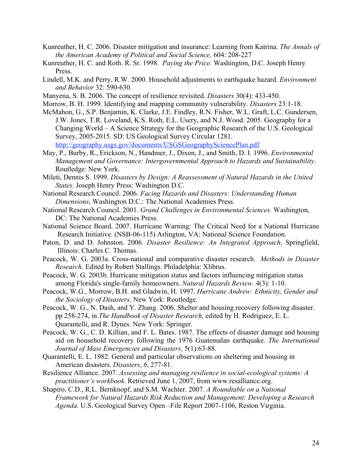- Kunreuther, H. C. 2006. Disaster mitigation and insurance: Learning from Katrina. *The Annals of the American Academy of Political and Social Science,* 604: 208-227
- Kunreuther, H. C. and Roth. R. Sr. 1998. *Paying the Price.* Washington, D.C. Joseph Henry Press.
- Lindell, M.K. and Perry, R.W. 2000. Household adjustments to earthquake hazard. *Environment and Behavior* 32: 590-630.
- Manyena, S. B. 2006. The concept of resilience revisited. *Disasters* 30(4): 433-450.
- Morrow, B. H. 1999. Identifying and mapping community vulnerability. *Disasters* 23:1-18.
- McMahon, G., S.P. Benjamin, K. Clarke, J.E. Findley, R.N. Fisher, W.L. Graft, L.C. Gundersen, J.W. Jones, T.R. Loveland, K.S. Roth, E.L. Usery, and N.J. Wood. 2005. Geography for a Changing World – A Science Strategy for the Geographic Research of the U.S. Geological Survey, 2005-2015. SD: US Geological Survey Circular 1281. http://geography.usgs.gov/documents/USGSGeographySciencePlan.pdf
- May, P., Burby, R., Erickson, N., Handmer, J., Dixon, J., and Smith, D. I. 1996. *Environmental Management and Governance: Intergovernmental Approach to Hazards and Sustainability*. Routledge: New York.
- Mileti, Dennis S. 1999. *Disasters by Design: A Reassessment of Natural Hazards in the United States.* Joseph Henry Press: Washington D.C.
- National Research Council. 2006. *Facing Hazards and Disasters: Understanding Human Dimensions*, Washington D.C.: The National Academies Press.
- National Research Council. 2001. *Grand Challenges in Environmental Sciences.* Washington, DC: The National Academies Press.
- National Science Board. 2007. Hurricane Warning: The Critical Need for a National Hurricane Research Initiative. (NSB-06-115) Arlington, VA: National Science Foundation.
- Paton, D. and D. Johnston. 2006. *Disaster Resilience: An Integrated Approach*. Springfield, Illinois: Charles C. Thomas.
- Peacock, W. G. 2003a. Cross-national and comparative disaster research. *Methods in Disaster Research.* Edited by Robert Stallings. Philadelphia: Xlibrus.
- Peacock, W. G. 2003b. Hurricane mitigation status and factors influencing mitigation status among Florida's single-family homeowners. *Natural Hazards Review*. 4(3): 1-10.
- Peacock, W.G., Morrow, B.H. and Gladwin, H. 1997. *Hurricane Andrew: Ethnicity, Gender and the Sociology of Disasters,* New York: Routledge.
- Peacock, W. G., N. Dash, and Y. Zhang. 2006. Shelter and housing recovery following disaster. pp 258-274, in *The Handbook of Disaster Research,* edited by H. Rodriguez, E. L. Quarantelli, and R. Dynes. New York: Springer.
- Peacock, W. G., C. D. Killian, and F. L. Bates. 1987. The effects of disaster damage and housing aid on household recovery following the 1976 Guatemalan earthquake. *The International Journal of Mass Emergencies and Disasters,* 5(1):63-88.
- Quarantelli, E. L. 1982. General and particular observations on sheltering and housing in American disasters. *Disasters*, *6*, 277-81.
- Resilience Alliance. 2007. *Assessing and managing resilience in social-ecological systems: A practitioner's workbook*. Retrieved June 1, 2007, from www.resalliance.org.
- Shapiro, C.D., R.L. Bernknopf, and S.M. Wachter. 2007. *A Roundtable on a National Framework for Natural Hazards Risk Reduction and Management: Developing a Research Agenda.* U.S. Geological Survey Open –File Report 2007-1106, Reston Virginia.